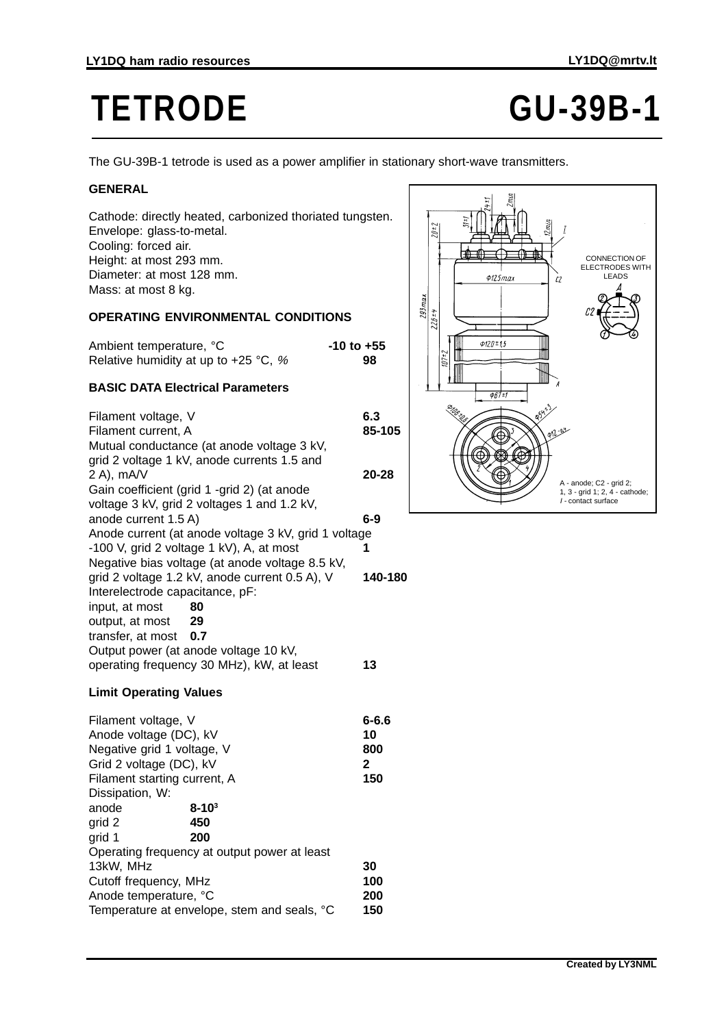# **TETRODE GU-39B-1**

The GU-39B-1 tetrode is used as a power amplifier in stationary short-wave transmitters.

#### **GENERAL**

Cathode: directly heated, carbonized thoriated tungsten. Envelope: glass-to-metal. Cooling: forced air. Height: at most 293 mm. Diameter: at most 128 mm. Mass: at most 8 kg.

## **OPERATING ENVIRONMENTAL CONDITIONS**

Ambient temperature.  ${}^{\circ}$ C **-10 to +55** Relative humidity at up to +25 °C, % **98**

## **BASIC DATA Electrical Parameters**

Filament voltage, V **6.3** Filament current, A **85-105** Mutual conductance (at anode voltage 3 kV, grid 2 voltage 1 kV, anode currents 1.5 and 2 A), mA/V **20-28** Gain coefficient (grid 1 -grid 2) (at anode voltage 3 kV, grid 2 voltages 1 and 1.2 kV, anode current 1.5 A) **6-9** Anode current (at anode voltage 3 kV, grid 1 voltage -100 V, grid 2 voltage 1 kV), A, at most **1** Negative bias voltage (at anode voltage 8.5 kV, grid 2 voltage 1.2 kV, anode current 0.5 A), V **140-180** Interelectrode capacitance, pF: input, at most **80** output, at most **29** transfer, at most **0.7** Output power (at anode voltage 10 kV, operating frequency 30 MHz), kW, at least **13**

#### **Limit Operating Values**

Filament voltage, V **6-6.6** Anode voltage (DC), kV **10** Negative grid 1 voltage, V **800** Grid 2 voltage (DC), kV **2** Filament starting current, A **150** Dissipation, W: anode **8-103** grid 2 **450** grid 1 **200** Operating frequency at output power at least 13kW, MHz **30** Cutoff frequency, MHz **100** Anode temperature, °C **200** Temperature at envelope, stem and seals, °C **150**

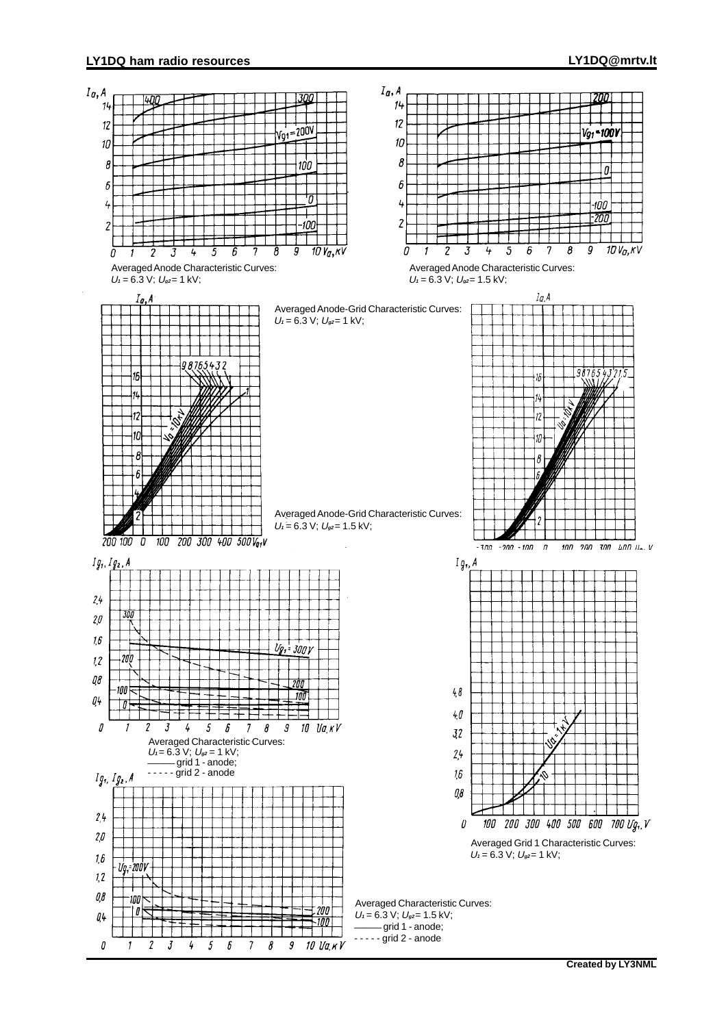#### **LY1DQ ham radio resources LY1DQ@mrtv.lt**